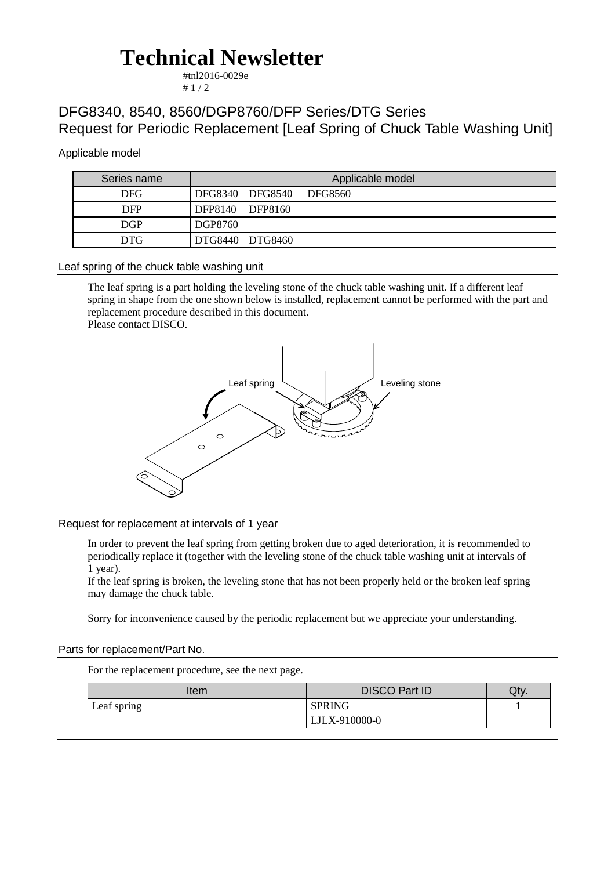# **Technical Newsletter**

#tnl2016-0029e  $# 1 / 2$ 

### DFG8340, 8540, 8560/DGP8760/DFP Series/DTG Series Request for Periodic Replacement [Leaf Spring of Chuck Table Washing Unit]

#### Applicable model

| Series name | Applicable model        |
|-------------|-------------------------|
| DFG.        | DFG8340 DFG8540 DFG8560 |
| <b>DFP</b>  | DFP8140 DFP8160         |
| <b>DGP</b>  | DGP8760                 |
| DTG.        | DTG8440 DTG8460         |

#### Leaf spring of the chuck table washing unit

The leaf spring is a part holding the leveling stone of the chuck table washing unit. If a different leaf spring in shape from the one shown below is installed, replacement cannot be performed with the part and replacement procedure described in this document. Please contact DISCO.



#### Request for replacement at intervals of 1 year

In order to prevent the leaf spring from getting broken due to aged deterioration, it is recommended to periodically replace it (together with the leveling stone of the chuck table washing unit at intervals of 1 year).

If the leaf spring is broken, the leveling stone that has not been properly held or the broken leaf spring may damage the chuck table.

Sorry for inconvenience caused by the periodic replacement but we appreciate your understanding.

#### Parts for replacement/Part No.

For the replacement procedure, see the next page.

| Item        | <b>DISCO Part ID</b> | Qty. |
|-------------|----------------------|------|
| Leaf spring | <b>SPRING</b>        |      |
|             | LJLX-910000-0        |      |